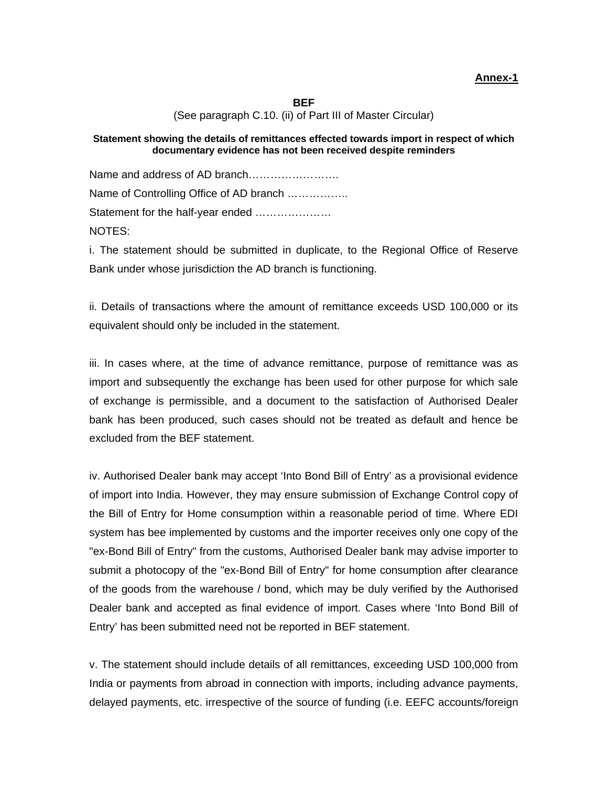**BEF**  (See paragraph C.10. (ii) of Part III of Master Circular)

#### **Statement showing the details of remittances effected towards import in respect of which documentary evidence has not been received despite reminders**

Name and address of AD branch……………………. Name of Controlling Office of AD branch …………….. Statement for the half-year ended ………………… NOTES:

i. The statement should be submitted in duplicate, to the Regional Office of Reserve Bank under whose jurisdiction the AD branch is functioning.

ii. Details of transactions where the amount of remittance exceeds USD 100,000 or its equivalent should only be included in the statement.

iii. In cases where, at the time of advance remittance, purpose of remittance was as import and subsequently the exchange has been used for other purpose for which sale of exchange is permissible, and a document to the satisfaction of Authorised Dealer bank has been produced, such cases should not be treated as default and hence be excluded from the BEF statement.

iv. Authorised Dealer bank may accept 'Into Bond Bill of Entry' as a provisional evidence of import into India. However, they may ensure submission of Exchange Control copy of the Bill of Entry for Home consumption within a reasonable period of time. Where EDI system has bee implemented by customs and the importer receives only one copy of the "ex-Bond Bill of Entry" from the customs, Authorised Dealer bank may advise importer to submit a photocopy of the "ex-Bond Bill of Entry" for home consumption after clearance of the goods from the warehouse / bond, which may be duly verified by the Authorised Dealer bank and accepted as final evidence of import. Cases where 'Into Bond Bill of Entry' has been submitted need not be reported in BEF statement.

v. The statement should include details of all remittances, exceeding USD 100,000 from India or payments from abroad in connection with imports, including advance payments, delayed payments, etc. irrespective of the source of funding (i.e. EEFC accounts/foreign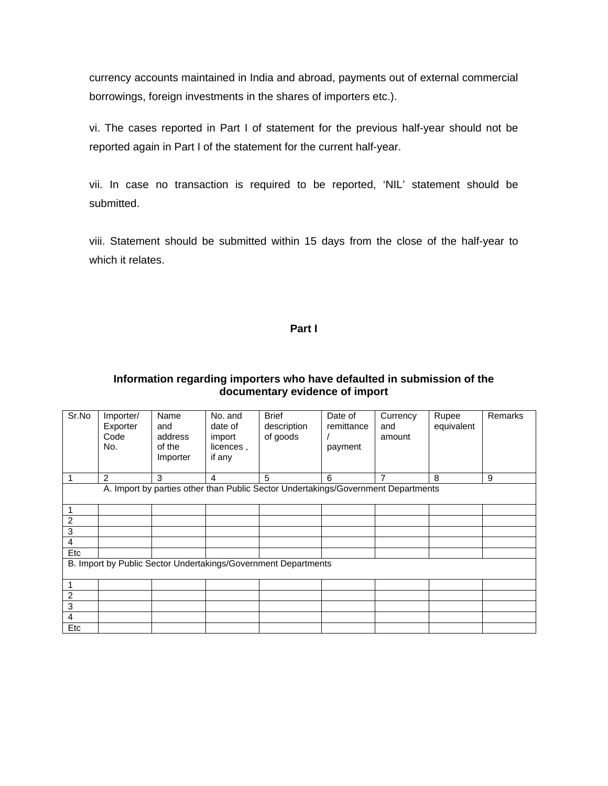currency accounts maintained in India and abroad, payments out of external commercial borrowings, foreign investments in the shares of importers etc.).

vi. The cases reported in Part I of statement for the previous half-year should not be reported again in Part I of the statement for the current half-year.

vii. In case no transaction is required to be reported, 'NIL' statement should be submitted.

viii. Statement should be submitted within 15 days from the close of the half-year to which it relates.

### **Part I**

## **Information regarding importers who have defaulted in submission of the documentary evidence of import**

| Sr.No                                                                             | Importer/<br>Exporter<br>Code<br>No. | Name<br>and<br>address<br>of the<br>Importer | No. and<br>date of<br>import<br>licences,<br>if any | <b>Brief</b><br>description<br>of goods | Date of<br>remittance<br>payment | Currency<br>and<br>amount | Rupee<br>equivalent | Remarks |  |  |  |
|-----------------------------------------------------------------------------------|--------------------------------------|----------------------------------------------|-----------------------------------------------------|-----------------------------------------|----------------------------------|---------------------------|---------------------|---------|--|--|--|
| 1                                                                                 | 2                                    | 3                                            | $\overline{4}$                                      | 5                                       | 6                                | $\overline{7}$            | 8                   | 9       |  |  |  |
| A. Import by parties other than Public Sector Undertakings/Government Departments |                                      |                                              |                                                     |                                         |                                  |                           |                     |         |  |  |  |
|                                                                                   |                                      |                                              |                                                     |                                         |                                  |                           |                     |         |  |  |  |
| 2                                                                                 |                                      |                                              |                                                     |                                         |                                  |                           |                     |         |  |  |  |
| 3                                                                                 |                                      |                                              |                                                     |                                         |                                  |                           |                     |         |  |  |  |
| 4                                                                                 |                                      |                                              |                                                     |                                         |                                  |                           |                     |         |  |  |  |
| Etc                                                                               |                                      |                                              |                                                     |                                         |                                  |                           |                     |         |  |  |  |
| B. Import by Public Sector Undertakings/Government Departments                    |                                      |                                              |                                                     |                                         |                                  |                           |                     |         |  |  |  |
|                                                                                   |                                      |                                              |                                                     |                                         |                                  |                           |                     |         |  |  |  |
| $\overline{2}$                                                                    |                                      |                                              |                                                     |                                         |                                  |                           |                     |         |  |  |  |
| 3                                                                                 |                                      |                                              |                                                     |                                         |                                  |                           |                     |         |  |  |  |
| 4                                                                                 |                                      |                                              |                                                     |                                         |                                  |                           |                     |         |  |  |  |
| Etc                                                                               |                                      |                                              |                                                     |                                         |                                  |                           |                     |         |  |  |  |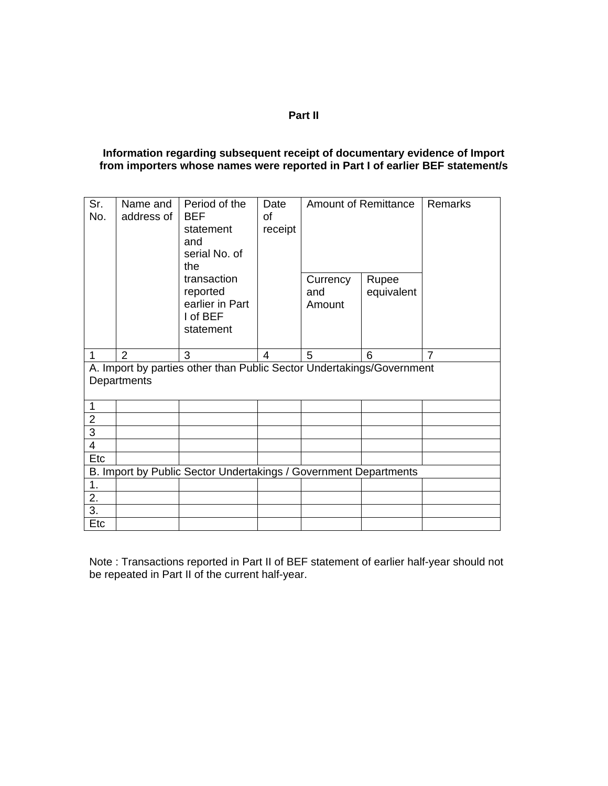## **Part II**

#### **Information regarding subsequent receipt of documentary evidence of Import from importers whose names were reported in Part I of earlier BEF statement/s**

| Sr.<br>No.                                                                           | Name and<br>address of | Period of the<br><b>BEF</b><br>statement<br>and<br>serial No. of<br>the<br>transaction<br>reported<br>earlier in Part<br>I of BEF<br>statement | Date<br>0f<br>receipt | Currency<br>and<br>Amount | Amount of Remittance<br>Rupee<br>equivalent | <b>Remarks</b> |  |  |  |  |  |
|--------------------------------------------------------------------------------------|------------------------|------------------------------------------------------------------------------------------------------------------------------------------------|-----------------------|---------------------------|---------------------------------------------|----------------|--|--|--|--|--|
| 1                                                                                    | $\overline{2}$         | 3                                                                                                                                              | 4                     | 5                         | 6                                           | 7              |  |  |  |  |  |
| A. Import by parties other than Public Sector Undertakings/Government<br>Departments |                        |                                                                                                                                                |                       |                           |                                             |                |  |  |  |  |  |
| 1                                                                                    |                        |                                                                                                                                                |                       |                           |                                             |                |  |  |  |  |  |
| $\overline{2}$                                                                       |                        |                                                                                                                                                |                       |                           |                                             |                |  |  |  |  |  |
| $\overline{3}$                                                                       |                        |                                                                                                                                                |                       |                           |                                             |                |  |  |  |  |  |
| $\overline{4}$                                                                       |                        |                                                                                                                                                |                       |                           |                                             |                |  |  |  |  |  |
| Etc                                                                                  |                        |                                                                                                                                                |                       |                           |                                             |                |  |  |  |  |  |
| B. Import by Public Sector Undertakings / Government Departments                     |                        |                                                                                                                                                |                       |                           |                                             |                |  |  |  |  |  |
| 1.                                                                                   |                        |                                                                                                                                                |                       |                           |                                             |                |  |  |  |  |  |
| 2.                                                                                   |                        |                                                                                                                                                |                       |                           |                                             |                |  |  |  |  |  |
| 3.                                                                                   |                        |                                                                                                                                                |                       |                           |                                             |                |  |  |  |  |  |
|                                                                                      |                        |                                                                                                                                                |                       |                           |                                             |                |  |  |  |  |  |

Note : Transactions reported in Part II of BEF statement of earlier half-year should not be repeated in Part II of the current half-year.